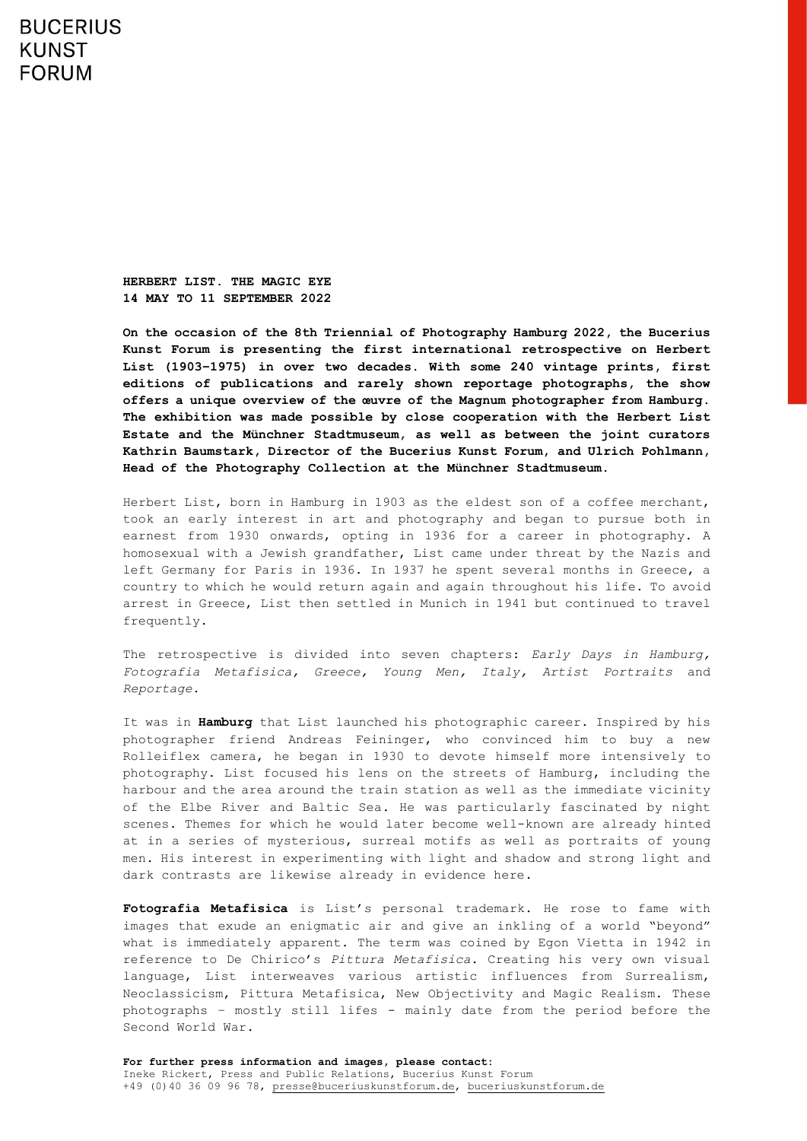## **BUCERIUS KUNST FORUM**

**HERBERT LIST. THE MAGIC EYE 14 MAY TO 11 SEPTEMBER 2022**

**On the occasion of the 8th Triennial of Photography Hamburg 2022, the Bucerius Kunst Forum is presenting the first international retrospective on Herbert List (1903–1975) in over two decades. With some 240 vintage prints, first editions of publications and rarely shown reportage photographs, the show offers a unique overview of the œuvre of the Magnum photographer from Hamburg. The exhibition was made possible by close cooperation with the Herbert List Estate and the Münchner Stadtmuseum, as well as between the joint curators Kathrin Baumstark, Director of the Bucerius Kunst Forum, and Ulrich Pohlmann, Head of the Photography Collection at the Münchner Stadtmuseum.**

Herbert List, born in Hamburg in 1903 as the eldest son of a coffee merchant, took an early interest in art and photography and began to pursue both in earnest from 1930 onwards, opting in 1936 for a career in photography. A homosexual with a Jewish grandfather, List came under threat by the Nazis and left Germany for Paris in 1936. In 1937 he spent several months in Greece, a country to which he would return again and again throughout his life. To avoid arrest in Greece, List then settled in Munich in 1941 but continued to travel frequently.

The retrospective is divided into seven chapters: *Early Days in Hamburg, Fotografia Metafisica, Greece, Young Men, Italy, Artist Portraits* and *Reportage.*

It was in **Hamburg** that List launched his photographic career. Inspired by his photographer friend Andreas Feininger, who convinced him to buy a new Rolleiflex camera, he began in 1930 to devote himself more intensively to photography. List focused his lens on the streets of Hamburg, including the harbour and the area around the train station as well as the immediate vicinity of the Elbe River and Baltic Sea. He was particularly fascinated by night scenes. Themes for which he would later become well-known are already hinted at in a series of mysterious, surreal motifs as well as portraits of young men. His interest in experimenting with light and shadow and strong light and dark contrasts are likewise already in evidence here.

**Fotografia Metafisica** is List's personal trademark. He rose to fame with images that exude an enigmatic air and give an inkling of a world "beyond" what is immediately apparent. The term was coined by Egon Vietta in 1942 in reference to De Chirico's *Pittura Metafisica*. Creating his very own visual language, List interweaves various artistic influences from Surrealism, Neoclassicism, Pittura Metafisica, New Objectivity and Magic Realism. These photographs – mostly still lifes - mainly date from the period before the Second World War.

**For further press information and images, please contact:** Ineke Rickert, Press and Public Relations, Bucerius Kunst Forum +49 (0)40 36 09 96 78, [presse@buceriuskunstforum.de,](file://///BKFSERVERI/texte/ZS-BKF/Öffentlichkeitsarbeit/00_PRESSE/02_Ausstellungsvorschau/alt/presse@buceriuskunstforum.de) [buceriuskunstforum.de](http://www.buceriuskunstforum.de/)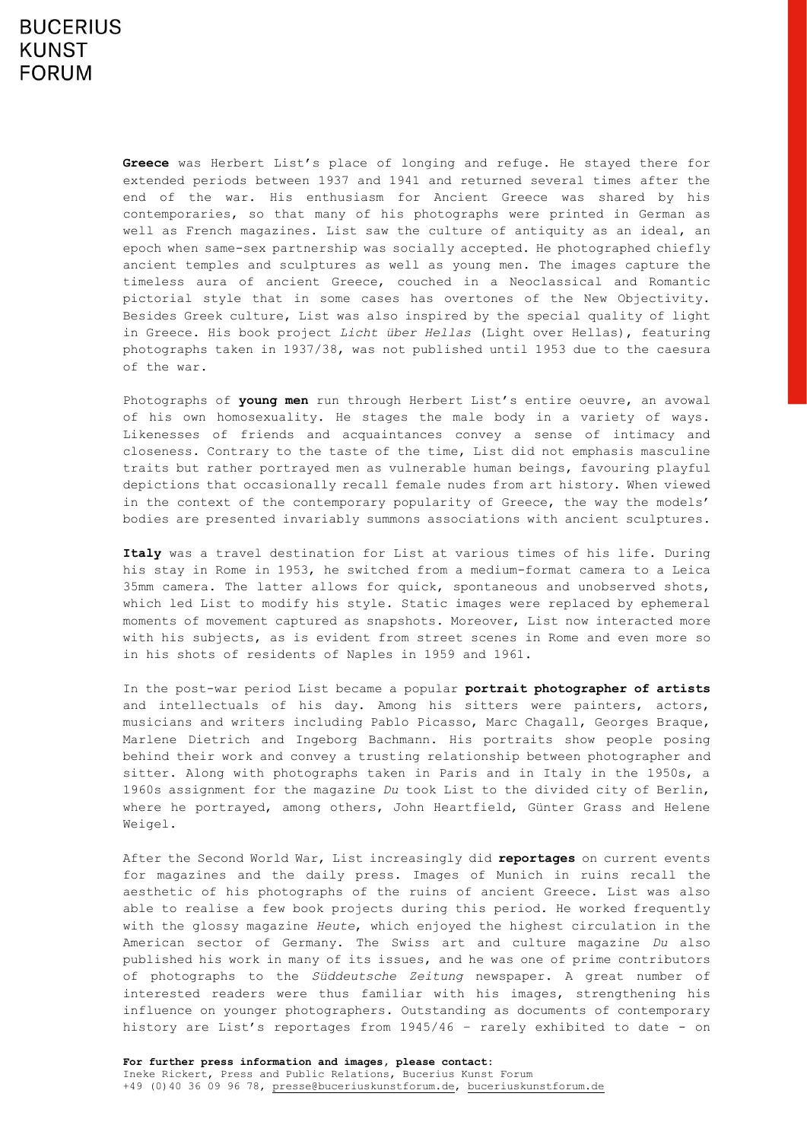**Greece** was Herbert List's place of longing and refuge. He stayed there for extended periods between 1937 and 1941 and returned several times after the end of the war. His enthusiasm for Ancient Greece was shared by his contemporaries, so that many of his photographs were printed in German as well as French magazines. List saw the culture of antiquity as an ideal, an epoch when same-sex partnership was socially accepted. He photographed chiefly ancient temples and sculptures as well as young men. The images capture the timeless aura of ancient Greece, couched in a Neoclassical and Romantic pictorial style that in some cases has overtones of the New Objectivity. Besides Greek culture, List was also inspired by the special quality of light in Greece. His book project *Licht über Hellas* (Light over Hellas), featuring photographs taken in 1937/38, was not published until 1953 due to the caesura of the war.

Photographs of **young men** run through Herbert List's entire oeuvre, an avowal of his own homosexuality. He stages the male body in a variety of ways. Likenesses of friends and acquaintances convey a sense of intimacy and closeness. Contrary to the taste of the time, List did not emphasis masculine traits but rather portrayed men as vulnerable human beings, favouring playful depictions that occasionally recall female nudes from art history. When viewed in the context of the contemporary popularity of Greece, the way the models' bodies are presented invariably summons associations with ancient sculptures.

**Italy** was a travel destination for List at various times of his life. During his stay in Rome in 1953, he switched from a medium-format camera to a Leica 35mm camera. The latter allows for quick, spontaneous and unobserved shots, which led List to modify his style. Static images were replaced by ephemeral moments of movement captured as snapshots. Moreover, List now interacted more with his subjects, as is evident from street scenes in Rome and even more so in his shots of residents of Naples in 1959 and 1961.

In the post-war period List became a popular **portrait photographer of artists** and intellectuals of his day. Among his sitters were painters, actors, musicians and writers including Pablo Picasso, Marc Chagall, Georges Braque, Marlene Dietrich and Ingeborg Bachmann. His portraits show people posing behind their work and convey a trusting relationship between photographer and sitter. Along with photographs taken in Paris and in Italy in the 1950s, a 1960s assignment for the magazine *Du* took List to the divided city of Berlin, where he portrayed, among others, John Heartfield, Günter Grass and Helene Weigel.

After the Second World War, List increasingly did **reportages** on current events for magazines and the daily press. Images of Munich in ruins recall the aesthetic of his photographs of the ruins of ancient Greece. List was also able to realise a few book projects during this period. He worked frequently with the glossy magazine *Heute*, which enjoyed the highest circulation in the American sector of Germany. The Swiss art and culture magazine *Du* also published his work in many of its issues, and he was one of prime contributors of photographs to the *Süddeutsche Zeitung* newspaper. A great number of interested readers were thus familiar with his images, strengthening his influence on younger photographers. Outstanding as documents of contemporary history are List's reportages from 1945/46 – rarely exhibited to date - on